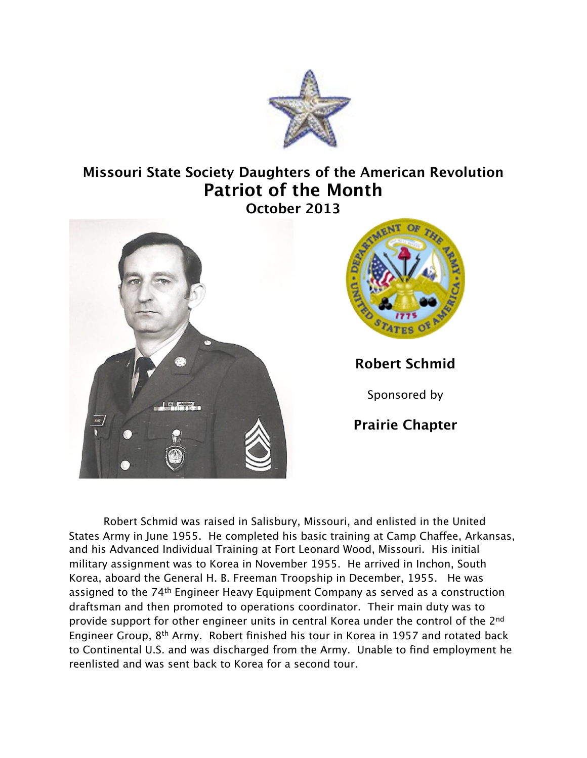

## **Missouri State Society Daughters of the American Revolution Patriot of the Month October 2013**





**Robert Schmid**

Sponsored by

**Prairie Chapter**

Robert Schmid was raised in Salisbury, Missouri, and enlisted in the United States Army in June 1955. He completed his basic training at Camp Chafee, Arkansas, and his Advanced Individual Training at Fort Leonard Wood, Missouri. His initial military assignment was to Korea in November 1955. He arrived in Inchon, South Korea, aboard the General H. B. Freeman Troopship in December, 1955. He was assigned to the 74th Engineer Heavy Equipment Company as served as a construction draftsman and then promoted to operations coordinator. Their main duty was to provide support for other engineer units in central Korea under the control of the 2nd Engineer Group, 8th Army. Robert finished his tour in Korea in 1957 and rotated back to Continental U.S. and was discharged from the Army. Unable to find employment he reenlisted and was sent back to Korea for a second tour.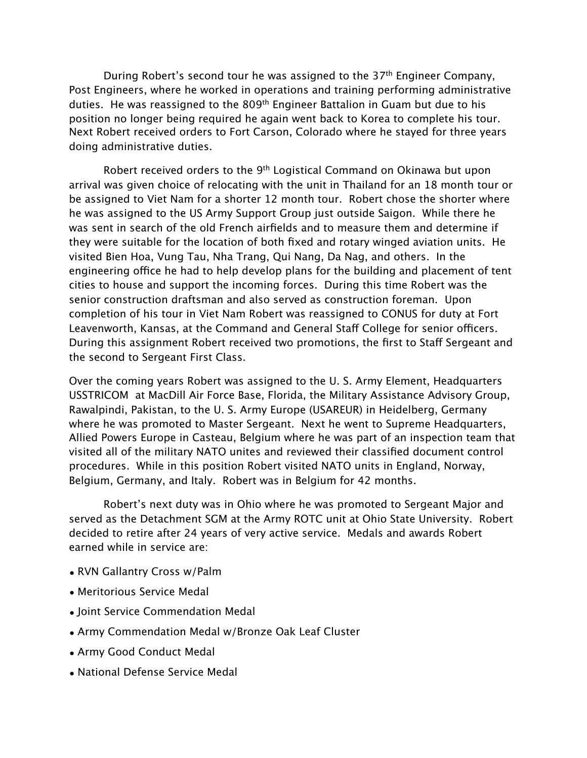During Robert's second tour he was assigned to the  $37<sup>th</sup>$  Engineer Company, Post Engineers, where he worked in operations and training performing administrative duties. He was reassigned to the 809<sup>th</sup> Engineer Battalion in Guam but due to his position no longer being required he again went back to Korea to complete his tour. Next Robert received orders to Fort Carson, Colorado where he stayed for three years doing administrative duties.

Robert received orders to the 9<sup>th</sup> Logistical Command on Okinawa but upon arrival was given choice of relocating with the unit in Thailand for an 18 month tour or be assigned to Viet Nam for a shorter 12 month tour. Robert chose the shorter where he was assigned to the US Army Support Group just outside Saigon. While there he was sent in search of the old French airfields and to measure them and determine if they were suitable for the location of both fixed and rotary winged aviation units. He visited Bien Hoa, Vung Tau, Nha Trang, Qui Nang, Da Nag, and others. In the engineering office he had to help develop plans for the building and placement of tent cities to house and support the incoming forces. During this time Robert was the senior construction draftsman and also served as construction foreman. Upon completion of his tour in Viet Nam Robert was reassigned to CONUS for duty at Fort Leavenworth, Kansas, at the Command and General Staff College for senior officers. During this assignment Robert received two promotions, the first to Staff Sergeant and the second to Sergeant First Class.

Over the coming years Robert was assigned to the U. S. Army Element, Headquarters USSTRICOM at MacDill Air Force Base, Florida, the Military Assistance Advisory Group, Rawalpindi, Pakistan, to the U. S. Army Europe (USAREUR) in Heidelberg, Germany where he was promoted to Master Sergeant. Next he went to Supreme Headquarters, Allied Powers Europe in Casteau, Belgium where he was part of an inspection team that visited all of the military NATO unites and reviewed their classified document control procedures. While in this position Robert visited NATO units in England, Norway, Belgium, Germany, and Italy. Robert was in Belgium for 42 months.

Robert's next duty was in Ohio where he was promoted to Sergeant Major and served as the Detachment SGM at the Army ROTC unit at Ohio State University. Robert decided to retire after 24 years of very active service. Medals and awards Robert earned while in service are:

- RVN Gallantry Cross w/Palm
- Meritorious Service Medal
- Joint Service Commendation Medal
- Army Commendation Medal w/Bronze Oak Leaf Cluster
- Army Good Conduct Medal
- National Defense Service Medal